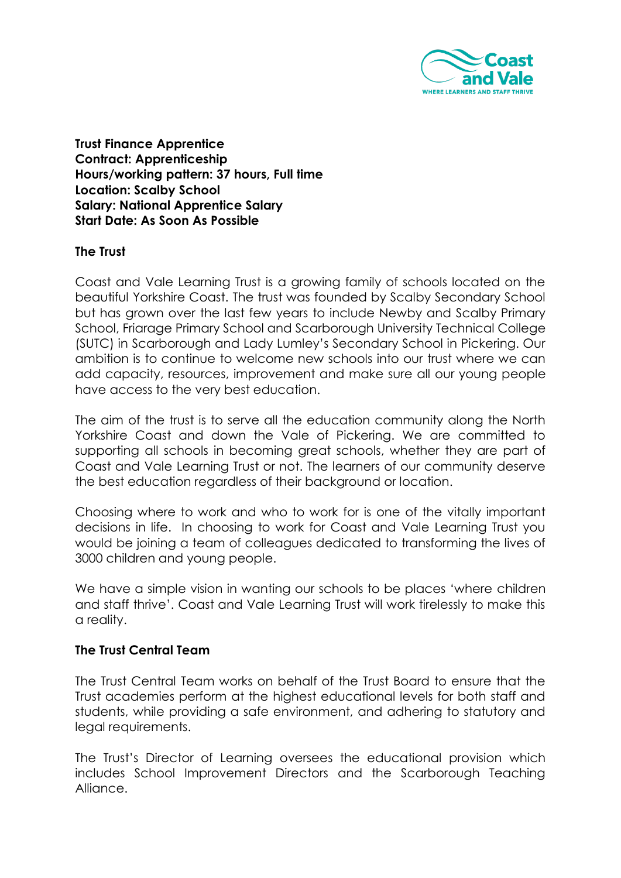

**Trust Finance Apprentice Contract: Apprenticeship Hours/working pattern: 37 hours, Full time Location: Scalby School Salary: National Apprentice Salary Start Date: As Soon As Possible**

#### **The Trust**

Coast and Vale Learning Trust is a growing family of schools located on the beautiful Yorkshire Coast. The trust was founded by Scalby Secondary School but has grown over the last few years to include Newby and Scalby Primary School, Friarage Primary School and Scarborough University Technical College (SUTC) in Scarborough and Lady Lumley's Secondary School in Pickering. Our ambition is to continue to welcome new schools into our trust where we can add capacity, resources, improvement and make sure all our young people have access to the very best education.

The aim of the trust is to serve all the education community along the North Yorkshire Coast and down the Vale of Pickering. We are committed to supporting all schools in becoming great schools, whether they are part of Coast and Vale Learning Trust or not. The learners of our community deserve the best education regardless of their background or location.

Choosing where to work and who to work for is one of the vitally important decisions in life. In choosing to work for Coast and Vale Learning Trust you would be joining a team of colleagues dedicated to transforming the lives of 3000 children and young people.

We have a simple vision in wanting our schools to be places 'where children and staff thrive'. Coast and Vale Learning Trust will work tirelessly to make this a reality.

#### **The Trust Central Team**

The Trust Central Team works on behalf of the Trust Board to ensure that the Trust academies perform at the highest educational levels for both staff and students, while providing a safe environment, and adhering to statutory and legal requirements.

The Trust's Director of Learning oversees the educational provision which includes School Improvement Directors and the Scarborough Teaching Alliance.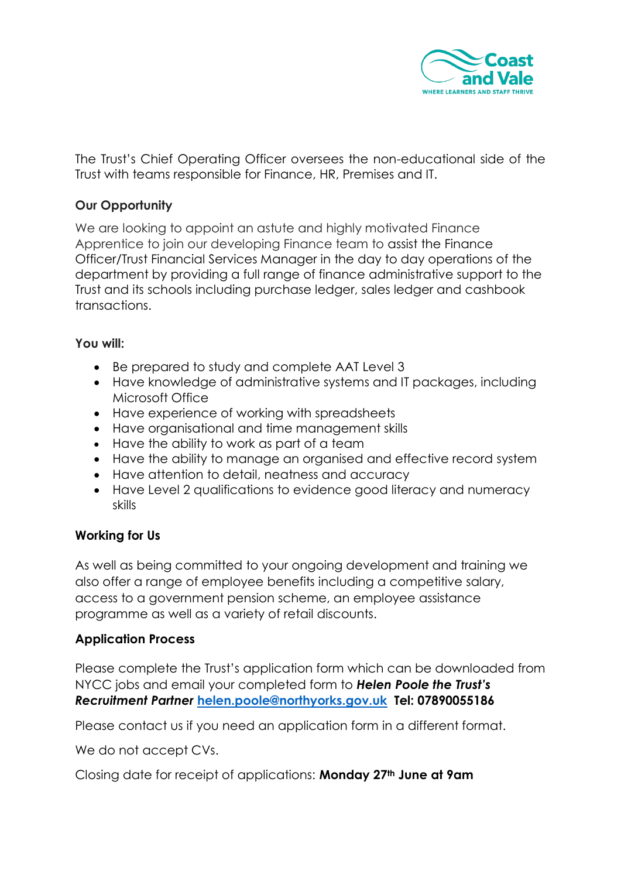

The Trust's Chief Operating Officer oversees the non-educational side of the Trust with teams responsible for Finance, HR, Premises and IT.

# **Our Opportunity**

We are looking to appoint an astute and highly motivated Finance Apprentice to join our developing Finance team to assist the Finance Officer/Trust Financial Services Manager in the day to day operations of the department by providing a full range of finance administrative support to the Trust and its schools including purchase ledger, sales ledger and cashbook transactions.

## **You will:**

- Be prepared to study and complete AAT Level 3
- Have knowledge of administrative systems and IT packages, including Microsoft Office
- Have experience of working with spreadsheets
- Have organisational and time management skills
- Have the ability to work as part of a team
- Have the ability to manage an organised and effective record system
- Have attention to detail, neatness and accuracy
- Have Level 2 qualifications to evidence good literacy and numeracy skills

## **Working for Us**

As well as being committed to your ongoing development and training we also offer a range of employee benefits including a competitive salary, access to a government pension scheme, an employee assistance programme as well as a variety of retail discounts.

## **Application Process**

Please complete the Trust's application form which can be downloaded from NYCC jobs and email your completed form to *Helen Poole the Trust's Recruitment Partner* **[helen.poole@northyorks.gov.uk](mailto:helen.poole@northyorks.gov.uk) Tel: 07890055186**

Please contact us if you need an application form in a different format.

We do not accept CVs.

Closing date for receipt of applications: **Monday 27th June at 9am**